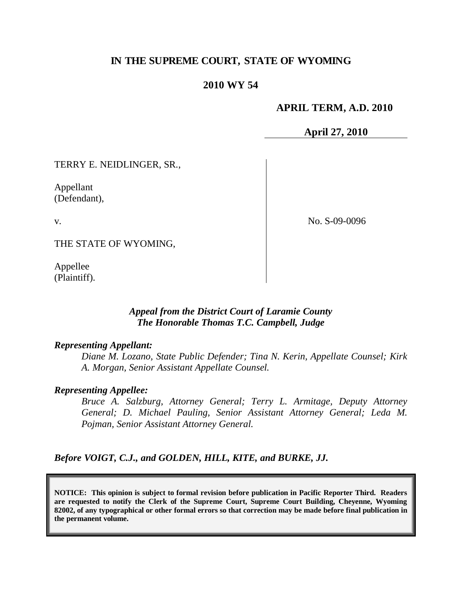# **IN THE SUPREME COURT, STATE OF WYOMING**

## **2010 WY 54**

### **APRIL TERM, A.D. 2010**

**April 27, 2010**

TERRY E. NEIDLINGER, SR.,

Appellant (Defendant),

v.

No. S-09-0096

THE STATE OF WYOMING,

Appellee (Plaintiff).

# *Appeal from the District Court of Laramie County The Honorable Thomas T.C. Campbell, Judge*

#### *Representing Appellant:*

*Diane M. Lozano, State Public Defender; Tina N. Kerin, Appellate Counsel; Kirk A. Morgan, Senior Assistant Appellate Counsel.*

#### *Representing Appellee:*

*Bruce A. Salzburg, Attorney General; Terry L. Armitage, Deputy Attorney General; D. Michael Pauling, Senior Assistant Attorney General; Leda M. Pojman, Senior Assistant Attorney General.*

*Before VOIGT, C.J., and GOLDEN, HILL, KITE, and BURKE, JJ.*

**NOTICE: This opinion is subject to formal revision before publication in Pacific Reporter Third. Readers are requested to notify the Clerk of the Supreme Court, Supreme Court Building, Cheyenne, Wyoming 82002, of any typographical or other formal errors so that correction may be made before final publication in the permanent volume.**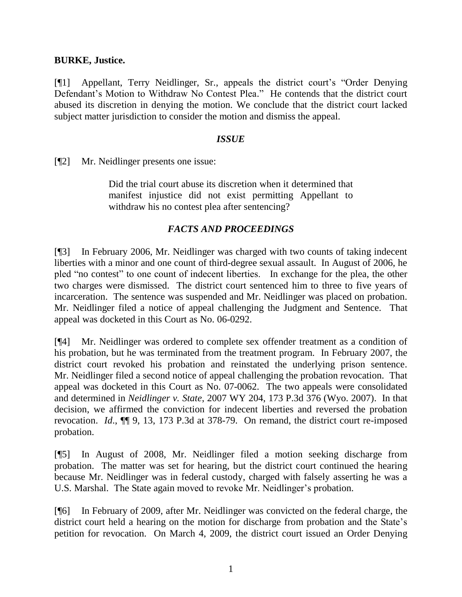## **BURKE, Justice.**

[¶1] Appellant, Terry Neidlinger, Sr., appeals the district court's "Order Denying Defendant's Motion to Withdraw No Contest Plea." He contends that the district court abused its discretion in denying the motion. We conclude that the district court lacked subject matter jurisdiction to consider the motion and dismiss the appeal.

### *ISSUE*

[¶2] Mr. Neidlinger presents one issue:

Did the trial court abuse its discretion when it determined that manifest injustice did not exist permitting Appellant to withdraw his no contest plea after sentencing?

# *FACTS AND PROCEEDINGS*

[¶3] In February 2006, Mr. Neidlinger was charged with two counts of taking indecent liberties with a minor and one count of third-degree sexual assault. In August of 2006, he pled "no contest" to one count of indecent liberties. In exchange for the plea, the other two charges were dismissed. The district court sentenced him to three to five years of incarceration. The sentence was suspended and Mr. Neidlinger was placed on probation. Mr. Neidlinger filed a notice of appeal challenging the Judgment and Sentence. That appeal was docketed in this Court as No. 06-0292.

[¶4] Mr. Neidlinger was ordered to complete sex offender treatment as a condition of his probation, but he was terminated from the treatment program. In February 2007, the district court revoked his probation and reinstated the underlying prison sentence. Mr. Neidlinger filed a second notice of appeal challenging the probation revocation. That appeal was docketed in this Court as No. 07-0062. The two appeals were consolidated and determined in *Neidlinger v. State*, 2007 WY 204, 173 P.3d 376 (Wyo. 2007). In that decision, we affirmed the conviction for indecent liberties and reversed the probation revocation. *Id*., ¶¶ 9, 13, 173 P.3d at 378-79. On remand, the district court re-imposed probation.

[¶5] In August of 2008, Mr. Neidlinger filed a motion seeking discharge from probation. The matter was set for hearing, but the district court continued the hearing because Mr. Neidlinger was in federal custody, charged with falsely asserting he was a U.S. Marshal. The State again moved to revoke Mr. Neidlinger's probation.

[¶6] In February of 2009, after Mr. Neidlinger was convicted on the federal charge, the district court held a hearing on the motion for discharge from probation and the State's petition for revocation. On March 4, 2009, the district court issued an Order Denying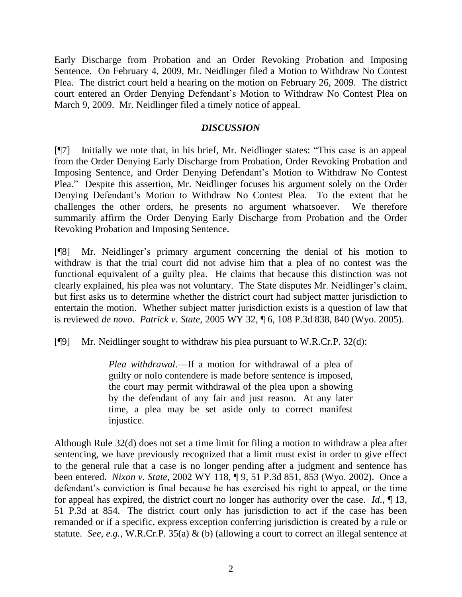Early Discharge from Probation and an Order Revoking Probation and Imposing Sentence. On February 4, 2009, Mr. Neidlinger filed a Motion to Withdraw No Contest Plea. The district court held a hearing on the motion on February 26, 2009. The district court entered an Order Denying Defendant's Motion to Withdraw No Contest Plea on March 9, 2009. Mr. Neidlinger filed a timely notice of appeal.

# *DISCUSSION*

[¶7] Initially we note that, in his brief, Mr. Neidlinger states: "This case is an appeal from the Order Denying Early Discharge from Probation, Order Revoking Probation and Imposing Sentence, and Order Denying Defendant's Motion to Withdraw No Contest Plea." Despite this assertion, Mr. Neidlinger focuses his argument solely on the Order Denying Defendant's Motion to Withdraw No Contest Plea. To the extent that he challenges the other orders, he presents no argument whatsoever. We therefore summarily affirm the Order Denying Early Discharge from Probation and the Order Revoking Probation and Imposing Sentence.

[¶8] Mr. Neidlinger's primary argument concerning the denial of his motion to withdraw is that the trial court did not advise him that a plea of no contest was the functional equivalent of a guilty plea. He claims that because this distinction was not clearly explained, his plea was not voluntary. The State disputes Mr. Neidlinger's claim, but first asks us to determine whether the district court had subject matter jurisdiction to entertain the motion. Whether subject matter jurisdiction exists is a question of law that is reviewed *de novo*. *Patrick v. State*, 2005 WY 32, ¶ 6, 108 P.3d 838, 840 (Wyo. 2005).

[¶9] Mr. Neidlinger sought to withdraw his plea pursuant to W.R.Cr.P. 32(d):

*Plea withdrawal*.—If a motion for withdrawal of a plea of guilty or nolo contendere is made before sentence is imposed, the court may permit withdrawal of the plea upon a showing by the defendant of any fair and just reason. At any later time, a plea may be set aside only to correct manifest injustice.

Although Rule 32(d) does not set a time limit for filing a motion to withdraw a plea after sentencing, we have previously recognized that a limit must exist in order to give effect to the general rule that a case is no longer pending after a judgment and sentence has been entered. *Nixon v. State*, 2002 WY 118, ¶ 9, 51 P.3d 851, 853 (Wyo. 2002). Once a defendant's conviction is final because he has exercised his right to appeal, or the time for appeal has expired, the district court no longer has authority over the case. *Id*., ¶ 13, 51 P.3d at 854. The district court only has jurisdiction to act if the case has been remanded or if a specific, express exception conferring jurisdiction is created by a rule or statute. *See, e.g.*, W.R.Cr.P. 35(a) & (b) (allowing a court to correct an illegal sentence at